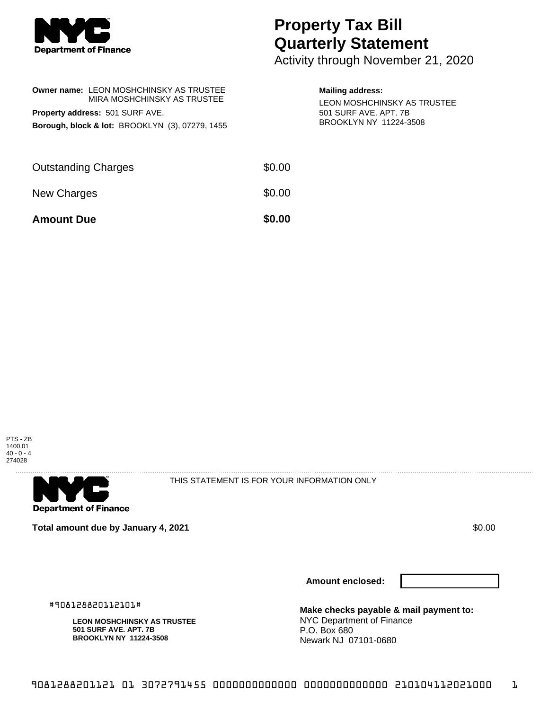

## **Property Tax Bill Quarterly Statement**

Activity through November 21, 2020

| Owner name: LEON MOSHCHINSKY AS TRUSTEE<br>MIRA MOSHCHINSKY AS TRUSTEE<br><b>Property address: 501 SURF AVE.</b><br>Borough, block & lot: BROOKLYN (3), 07279, 1455 |        | <b>Mailing address:</b><br>LEON MOSHCHINSKY AS TRUSTEE<br>501 SURF AVE, APT, 7B<br>BROOKLYN NY 11224-3508 |
|---------------------------------------------------------------------------------------------------------------------------------------------------------------------|--------|-----------------------------------------------------------------------------------------------------------|
| Outstanding Charges                                                                                                                                                 | \$0.00 |                                                                                                           |
| <b>New Charges</b>                                                                                                                                                  | \$0.00 |                                                                                                           |
| <b>Amount Due</b>                                                                                                                                                   | \$0.00 |                                                                                                           |
|                                                                                                                                                                     |        |                                                                                                           |





THIS STATEMENT IS FOR YOUR INFORMATION ONLY

**Total amount due by January 4, 2021 \$0.00**  $\bullet$  **\$0.00**  $\bullet$  **\$0.00**  $\bullet$  **\$0.00** 

**Amount enclosed:**

#908128820112101#

**LEON MOSHCHINSKY AS TRUSTEE 501 SURF AVE. APT. 7B BROOKLYN NY 11224-3508**

**Make checks payable & mail payment to:** NYC Department of Finance P.O. Box 680 Newark NJ 07101-0680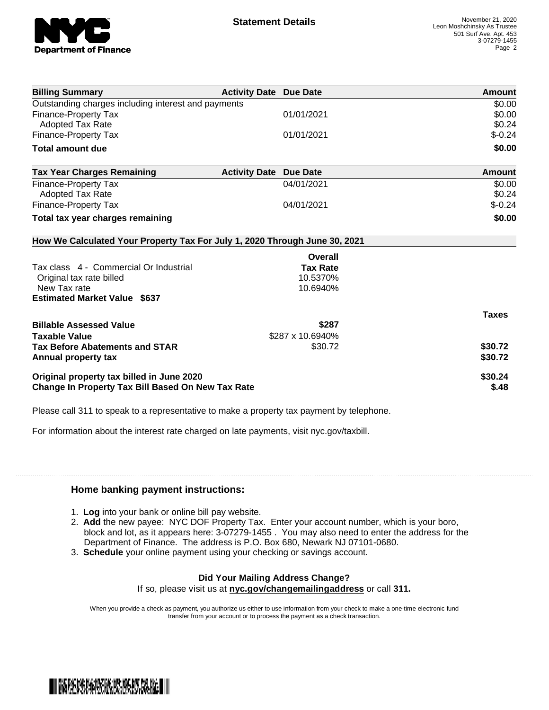

| <b>Billing Summary</b>                                                     | <b>Activity Date Due Date</b> |                  | Amount       |
|----------------------------------------------------------------------------|-------------------------------|------------------|--------------|
| Outstanding charges including interest and payments                        |                               |                  | \$0.00       |
| Finance-Property Tax                                                       |                               | 01/01/2021       | \$0.00       |
| <b>Adopted Tax Rate</b>                                                    |                               |                  | \$0.24       |
| Finance-Property Tax                                                       |                               | 01/01/2021       | $$-0.24$     |
| <b>Total amount due</b>                                                    |                               |                  | \$0.00       |
| <b>Tax Year Charges Remaining</b>                                          | <b>Activity Date</b>          | <b>Due Date</b>  | Amount       |
| <b>Finance-Property Tax</b>                                                |                               | 04/01/2021       | \$0.00       |
| <b>Adopted Tax Rate</b>                                                    |                               |                  | \$0.24       |
| Finance-Property Tax                                                       |                               | 04/01/2021       | $$-0.24$     |
| Total tax year charges remaining                                           |                               |                  | \$0.00       |
| How We Calculated Your Property Tax For July 1, 2020 Through June 30, 2021 |                               |                  |              |
|                                                                            |                               | Overall          |              |
| Tax class 4 - Commercial Or Industrial                                     |                               | <b>Tax Rate</b>  |              |
| Original tax rate billed                                                   |                               | 10.5370%         |              |
| New Tax rate                                                               |                               | 10.6940%         |              |
| <b>Estimated Market Value \$637</b>                                        |                               |                  |              |
|                                                                            |                               |                  | <b>Taxes</b> |
| <b>Billable Assessed Value</b>                                             |                               | \$287            |              |
| <b>Taxable Value</b>                                                       |                               | \$287 x 10.6940% |              |
| <b>Tax Before Abatements and STAR</b>                                      |                               | \$30.72          | \$30.72      |
| Annual property tax                                                        |                               |                  | \$30.72      |
| Original property tax billed in June 2020                                  |                               |                  | \$30.24      |
| <b>Change In Property Tax Bill Based On New Tax Rate</b>                   |                               |                  | \$.48        |

Please call 311 to speak to a representative to make a property tax payment by telephone.

For information about the interest rate charged on late payments, visit nyc.gov/taxbill.

## **Home banking payment instructions:**

- 1. **Log** into your bank or online bill pay website.
- 2. **Add** the new payee: NYC DOF Property Tax. Enter your account number, which is your boro, block and lot, as it appears here: 3-07279-1455 . You may also need to enter the address for the Department of Finance. The address is P.O. Box 680, Newark NJ 07101-0680.
- 3. **Schedule** your online payment using your checking or savings account.

## **Did Your Mailing Address Change?** If so, please visit us at **nyc.gov/changemailingaddress** or call **311.**

When you provide a check as payment, you authorize us either to use information from your check to make a one-time electronic fund transfer from your account or to process the payment as a check transaction.